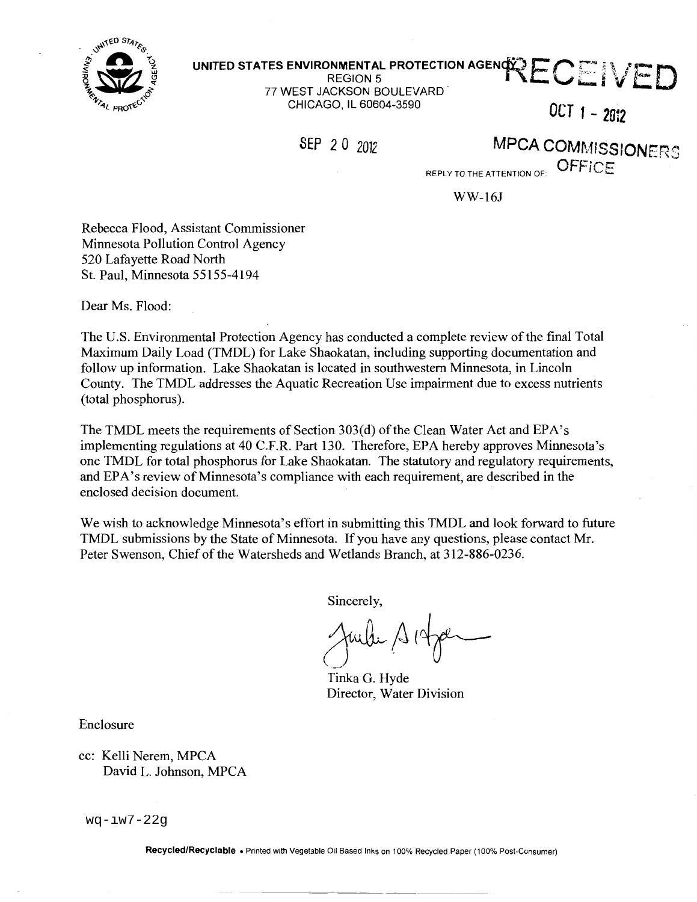

# $\hat{\mathbf{X}}$  inited states environmental protection agen $\hat{\mathbf{X}}$   $\mathsf{E}\mathbf{C}$   $\mathbb{H}$   $\mathcal{N}$   $\mathsf{F}$   $\mathsf{D}$

77 WEST JACKSON BOULEVARD **V AND A VIOLATION** CHICAGO, IL 60604-3590 **OCT f \_ <sup>2</sup> 0i2** 

SEP 2 0 2012 **MPCA COMMISSIONERS** 

REPLY TO THE ATTENTION OF:  $\overline{\text{OFFICE}}$ 

WW-161

Rebecca Flood, Assistant Commissioner Minnesota Pollution Control Agency 520 Lafayette Road North St. Paul, Minnesota 55155-4194

Dear Ms. Flood:

The U.S. Environmental Protection Agency has conducted a complete review of the final Total Maximum Daily Load (TMDL) for Lake Shaokatan, including supporting documentation and follow up information. Lake Shaokatan is located in southwestern Minnesota, in Lincoln County. The TMDL addresses the Aquatic Recreation Use impairment due to excess nutrients (total phosphorus).

The TMDL meets the requirements of Section 303(d) ofthe Clean Water Act and EPA's implementing regulations at 40 C.F.R. Part 130. Therefore, EPA hereby approves Minnesota's one TMDL for total phosphorus for Lake Shaokatan. The statutory and regulatory requirements, and EPA's review of Minnesota's compliance with each requirement, are described in the enclosed decision document.

We wish to acknowledge Minnesota's effort in submitting this TMDL and look forward to future TMDL submissions by the State of Minnesota. If you have any questions, please contact Mr. Peter Swenson, Chief of the Watersheds and Wetlands Branch, at 312-886-0236.

Sincerely,

Tinka G. Hyde Director, Water Division

Enclosure

cc: Kelli Nerem, MPCA David L. Johnson, MPCA

wq-iw7-22g

Recycled/Recyclable • Printed with Vegetable Oil Based Inks on 100% Recycled Paper (100% Post-Consumer)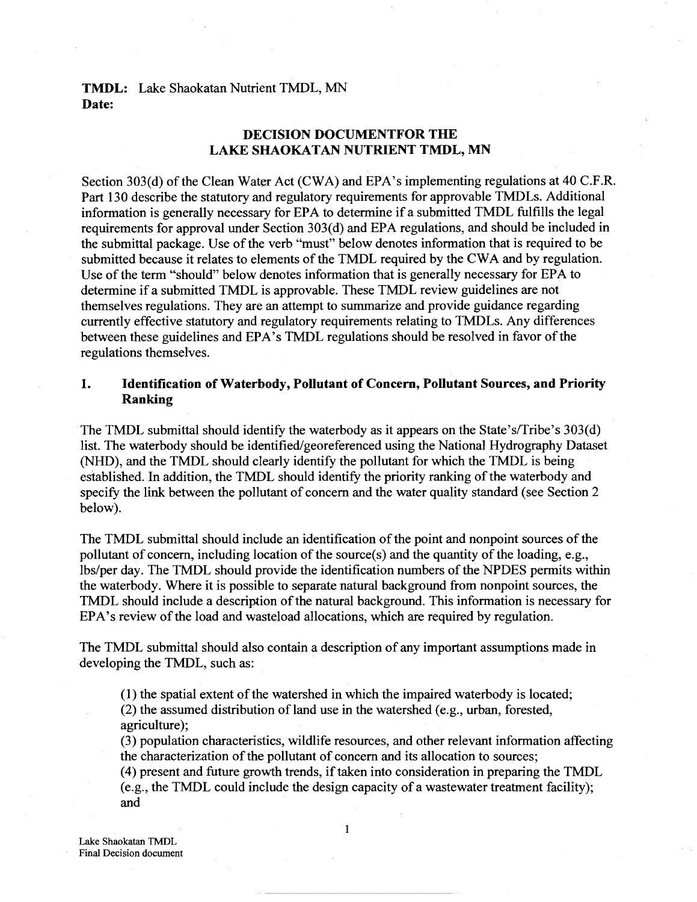# **TMDL:** Lake Shaokatan Nutrient TMDL, MN **Date:**

# **DECISION DOCUMENTFOR THE LAKE SHAOKATAN NUTRIENT TMDL, MN**

Section 303(d) of the Clean Water Act (CWA) and EPA's implementing regulations at 40 C.F.R. Part 130 describe the statutory and regulatory requirements for approvable TMDLs. Additional information is generally necessary for EPA to determine if a submitted TMDL fulfills the legal requirements for approval under Section 303(d) and EPA regulations, and should be included in the submittal package. Use of the verb "must" below denotes information that is required to be submitted because it relates to elements of the TMDL required by the CWA and by regulation. Use of the term "should" below denotes information that is generally necessary for EPA to determine if a submitted TMDL is approvable. These TMDL review guidelines are not themselves regulations. They are an attempt to summarize and provide guidance regarding currently effective statutory and regulatory requirements relating to TMDLs. Any differences between these guidelines and EPA's TMDL regulations should be resolved in favor of the regulations themselves.

# **1. Identification of Waterbody, Pollutant of Concern, Pollutant Sources, and Priority Ranking**

The TMDL submittal should identify the waterbody as it appears on the State's/Tribe's 303(d) list. The waterbody should be identified/georeferenced using the National Hydrography Dataset (NHD), and the TMDL should clearly identify the pollutant for which the TMDL is being established. In addition, the TMDL should identify the priority ranking of the waterbody and specify the link between the pollutant of concern and the water quality standard (see Section 2 below).

The TMDL submittal should include an identification of the point and nonpoint sources of the pollutant of concern, including location of the source(s) and the quantity of the loading, e.g., lbs/per day. The TMDL should provide the identification numbers of the NPDES permits within the waterbody. Where it is possible to separate natural background from nonpoint sources, the TMDL should include a description of the natural background. This information is necessary for EPA's review of the load and wasteload allocations, which are required by regulation.

The TMDL submittal should also contain a description of any important assumptions made in developing the TMDL, such as:

 $(1)$  the spatial extent of the watershed in which the impaired waterbody is located;

(2) the assumed distribution of land use in the watershed (e.g., urban, forested, agriculture);

(3) population characteristics, wildlife resources, and other relevant information affecting the characterization of the pollutant of concern and its allocation to sources;

(4) present and future growth trends, if taken into consideration in preparing the TMDL (e.g., the TMDL could include the design capacity of a wastewater treatment facility); and

Lake Shaokatan TMDL Final Decision document  $\mathbf{1}$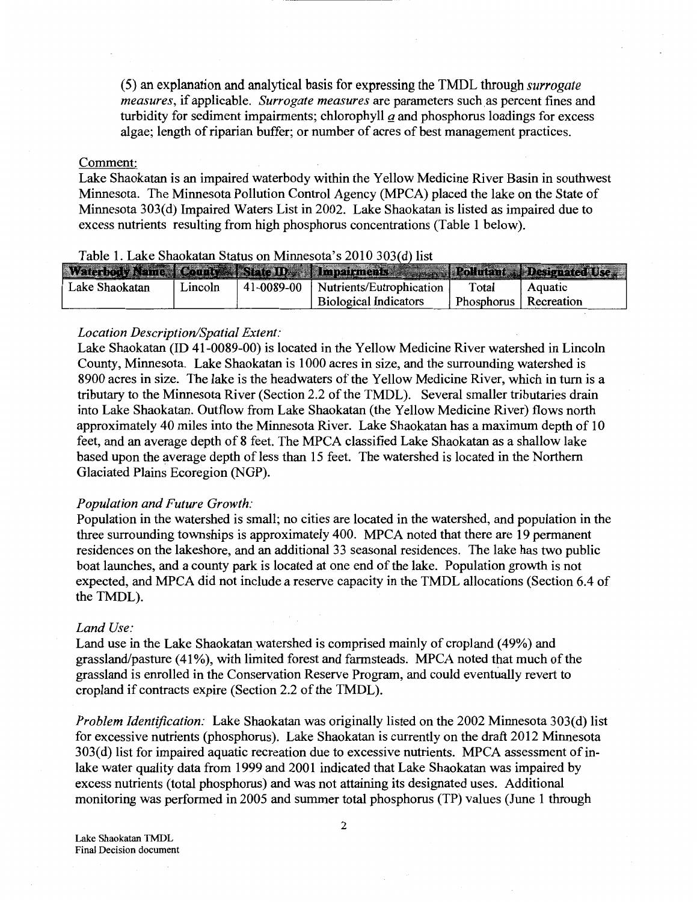(5) an explanation and analytical basis for expressing the TMDL through *surrogate measures,* if applicable. *Surrogate measures* are parameters such as percent fines and turbidity for sediment impairments; chlorophyll  $a$  and phosphorus loadings for excess algae; length of riparian buffer; or number of acres of best management practices.

#### Comment:

Lake Shaokatan is an impaired waterbody within the Yellow Medicine River Basin in southwest Minnesota. The Minnesota Pollution Control Agency (MPCA) placed the lake on the State of Minnesota 303(d) Impaired Waters List in 2002. Lake Shaokatan is listed as impaired due to excess nutrients resulting from high phosphorus concentrations (Table 1 below).

| Table 1. LaKe bhaokaian biatus on Mininesola 3 2010 JoJ(u) nst |         |            |                                                                               |                         |         |  |  |
|----------------------------------------------------------------|---------|------------|-------------------------------------------------------------------------------|-------------------------|---------|--|--|
|                                                                |         |            | Waterholy Name County Slate ID. I mpairments a real Politiant Designated Ise. |                         |         |  |  |
|                                                                |         |            |                                                                               |                         |         |  |  |
| Lake Shaokatan                                                 | Lincoln | 41-0089-00 | Nutrients/Eutrophication                                                      | Total                   | Aquatic |  |  |
|                                                                |         |            | <b>Biological Indicators</b>                                                  | Phosphorus   Recreation |         |  |  |

## Table 1. Lake Shaokatan Status on Minnesota's 2010 3

## *Location Description/Spatial Extent:*

Lake Shaokatan (ID 41-0089-00) is located in the Yellow Medicine River watershed in Lincoln County, Minnesota. Lake Shaokatan is 1000 acres in size, and the surrounding watershed is 8900 acres in size. The lake is the headwaters of the Yellow Medicine River, which in turn is a tributary to the Minnesota River (Section 2.2 of the TMDL). Several smaller tributaries drain into Lake Shaokatan. Outflow from Lake Shaokatan (the Yellow Medicine River) flows north approximately 40 miles into the Minnesota River. Lake Shaokatan has a maximum depth of 10 feet, and an average depth of 8 feet. The MPCA classified Lake Shaokatan as a shallow lake based upon the average depth of less than 15 feet. The watershed is located in the Northern Glaciated Plains Ecoregion (NGP).

#### *Population and Future Growth:*

Population in the watershed is small; no cities are located in the watershed, and population in the three surrounding townships is approximately 400. MPCA noted that there are 19 permanent residences on the lakeshore, and an additional 33 seasonal residences. The lake has two public boat launches, and a county park is located at one end of the lake. Population growth is not expected, and MPCA did not include a reserve capacity in the TMDL allocations (Section 6.4 of the TMDL).

#### *Land Use:*

Land use in the Lake Shaokatan watershed is comprised mainly of cropland ( 49%) and grassland/pasture (41%), with limited forest and farmsteads. MPCA noted that much of the grassland is enrolled in the Conservation Reserve Program, and could eventually revert to cropland if contracts expire (Section 2.2 of the TMDL).

*Problem Identification:* Lake Shaokatan was originally listed on the 2002 Minnesota 303(d) list for excessive nutrients (phosphorus). Lake Shaokatan is currently on the draft 2012 Minnesota 303(d) list for impaired aquatic recreation due to excessive nutrients. MPCA assessment of inlake water quality data from 1999 and 2001 indicated that Lake Shaokatan was impaired by excess nutrients (total phosphorus) and was not attaining its designated uses. Additional monitoring was performed in 2005 and summer total phosphorus (TP) values (June 1 through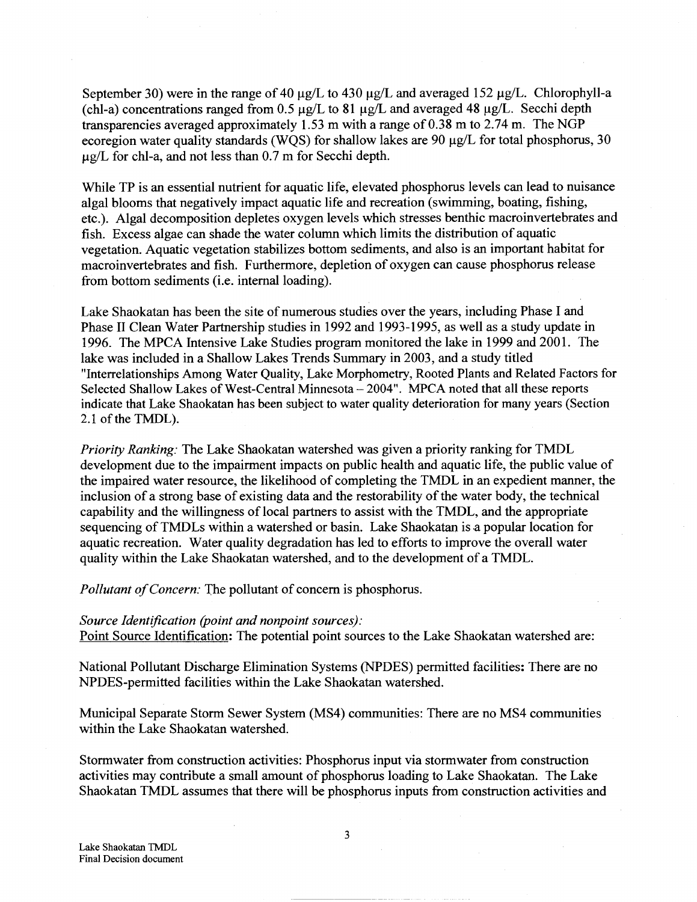September 30) were in the range of 40  $\mu$ g/L to 430  $\mu$ g/L and averaged 152  $\mu$ g/L. Chlorophyll-a (chl-a) concentrations ranged from 0.5  $\mu$ g/L to 81  $\mu$ g/L and averaged 48  $\mu$ g/L. Secchi depth transparencies averaged approximately 1.53 m with a range of  $0.38$  m to  $2.74$  m. The NGP ecoregion water quality standards (WQS) for shallow lakes are 90  $\mu$ g/L for total phosphorus, 30  $\mu$ g/L for chl-a, and not less than 0.7 m for Secchi depth.

While TP is an essential nutrient for aquatic life, elevated phosphorus levels can lead to nuisance algal blooms that negatively impact aquatic life and recreation (swimming, boating, fishing, etc.). Algal decomposition depletes oxygen levels which stresses benthic macroinvertebrates and fish. Excess algae can shade the water column which limits the distribution of aquatic vegetation. Aquatic vegetation stabilizes bottom sediments, and also is an important habitat for macroinvertebrates and fish. Furthermore, depletion of oxygen can cause phosphorus release from bottom sediments (i.e. internal loading).

Lake Shaokatan has been the site of numerous studies over the years, including Phase I and Phase II Clean Water Partnership studies in 1992 and 1993-1995, as well as a study update in 1996. The MPCA Intensive Lake Studies program monitored the lake in 1999 and 2001. The lake was included in a Shallow Lakes Trends Summary in 2003, and a study titled "Interrelationships Among Water Quality, Lake Morphometry, Rooted Plants and Related Factors for Selected Shallow Lakes of West-Central Minnesota- 2004". MPCA noted that all these reports indicate that Lake Shaokatan has been subject to water quality deterioration for many years (Section 2.1 of the TMDL).

*Priority Ranking:* The Lake Shaokatan watershed was given a priority ranking for TMDL development due to the impairment impacts on public health and aquatic life, the public value of the impaired water resource, the likelihood of completing the TMDL in an expedient manner, the inclusion of a strong base of existing data and the restorability of the water body, the technical capability and the willingness of local partners to assist with the TMDL, and the appropriate sequencing of TMDLs within a watershed or basin. Lake Shaokatan is a popular location for aquatic recreation. Water quality degradation has led to efforts to improve the overall water quality within the Lake Shaokatan watershed, and to the development of a TMDL.

*Pollutant of Concern:* The pollutant of concern is phosphorus.

#### *Source Identification (point and nonpoint sources):*

Point Source Identification: The potential point sources to the Lake Shaokatan watershed are:

National Pollutant Discharge Elimination Systems (NPDES) permitted facilities: There are no NPDES-permitted facilities within the Lake Shaokatan watershed.

Municipal Separate Storm Sewer System (MS4) communities: There are no MS4 communities within the Lake Shaokatan watershed.

Stormwater from construction activities: Phosphorus input via stormwater from construction activities may contribute a small amount of phosphorus loading to Lake Shaokatan. The Lake Shaokatan TMDL assumes that there will be phosphorus inputs from construction activities and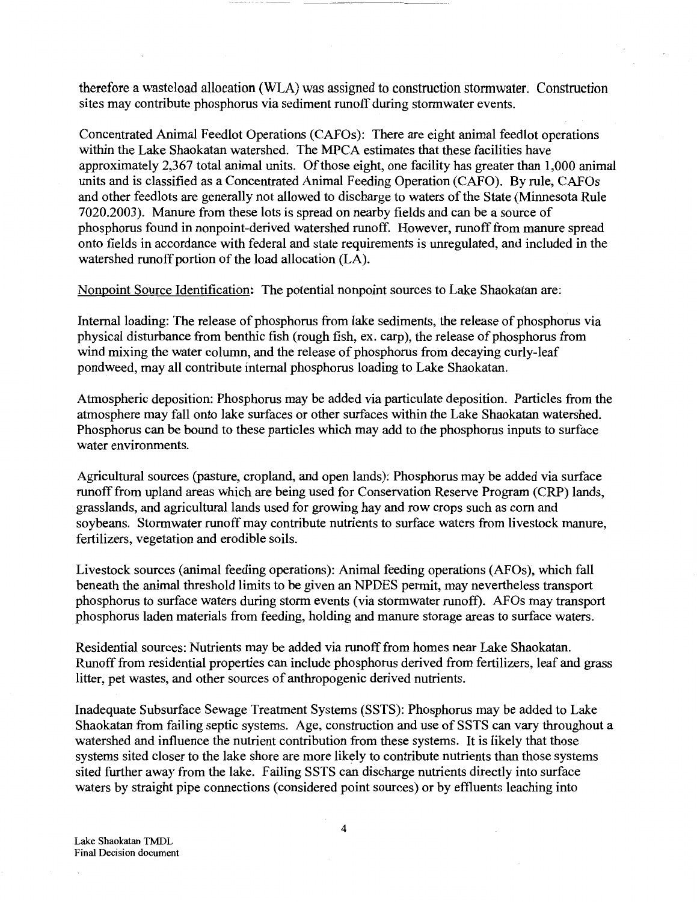therefore a wasteload allocation (WLA) was assigned to construction stormwater. Construction sites may contribute phosphorus via sediment runoff during stormwater events.

Concentrated Animal Feedlot Operations (CAFOs): There are eight animal feedlot operations within the Lake Shaokatan watershed. The MPCA estimates that these facilities have approximately 2,367 total animal units. Of those eight, one facility has greater than 1,000 animal units and is classified as a Concentrated Animal Feeding Operation (CAFO). By rule, CAFOs and other feedlots are generally not allowed to discharge to waters of the State (Minnesota Rule 7020.2003). Manure from these lots is spread on nearby fields and can be a source of phosphorus found in nonpoint-derived watershed runoff. However, runoff from manure spread onto fields in accordance with federal and state requirements is unregulated, and included in the watershed runoff portion of the load allocation (LA).

Nonpoint Source Identification: The potential nonpoint sources to Lake Shaokatan are:

Internal loading: The release of phosphorus from lake sediments, the release of phosphorus via physical disturbance from benthic fish (rough fish, ex. carp), the release of phosphorus from wind mixing the water column, and the release of phosphorus from decaying curly-leaf pondweed, may all contribute internal phosphorus loading to Lake Shaokatan.

Atmospheric deposition: Phosphorus may be added via particulate deposition. Particles from the atmosphere may fall onto lake surfaces or other surfaces within the Lake Shaokatan watershed. Phosphorus can be bound to these particles which may add to the phosphorus inputs to surface water environments.

Agricultural sources (pasture, cropland, and open lands): Phosphorus may be added via surface runoff from upland areas which are being used for Conservation Reserve Program (CRP) lands, grasslands, and agricultural lands used for growing hay and row crops such as com and soybeans. Stormwater runoff may contribute nutrients to surface waters from livestock manure, fertilizers, vegetation and erodible soils.

Livestock sources (animal feeding operations): Animal feeding operations (AFOs), which fall beneath the animal threshold limits to be given an NPDES permit, may nevertheless transport phosphorus to surface waters during storm events (via stormwater runoff). AFOs may transport phosphorus laden materials from feeding, holding and manure storage areas to surface waters.

Residential sources: Nutrients may be added via runoff from homes near Lake Shaokatan. Runoff from residential properties can include phosphorus derived from fertilizers, leaf and grass litter, pet wastes, and other sources of anthropogenic derived nutrients.

Inadequate Subsurface Sewage Treatment Systems (SSTS): Phosphorus may be added to Lake Shaokatan from failing septic systems. Age, construction and use of SSTS can vary throughout a watershed and influence the nutrient contribution from these systems. It is likely that those systems sited closer to the lake shore are more likely to contribute nutrients than those systems sited further away from the lake. Failing SSTS can discharge nutrients directly into surface waters by straight pipe connections (considered point sources) or by effluents leaching into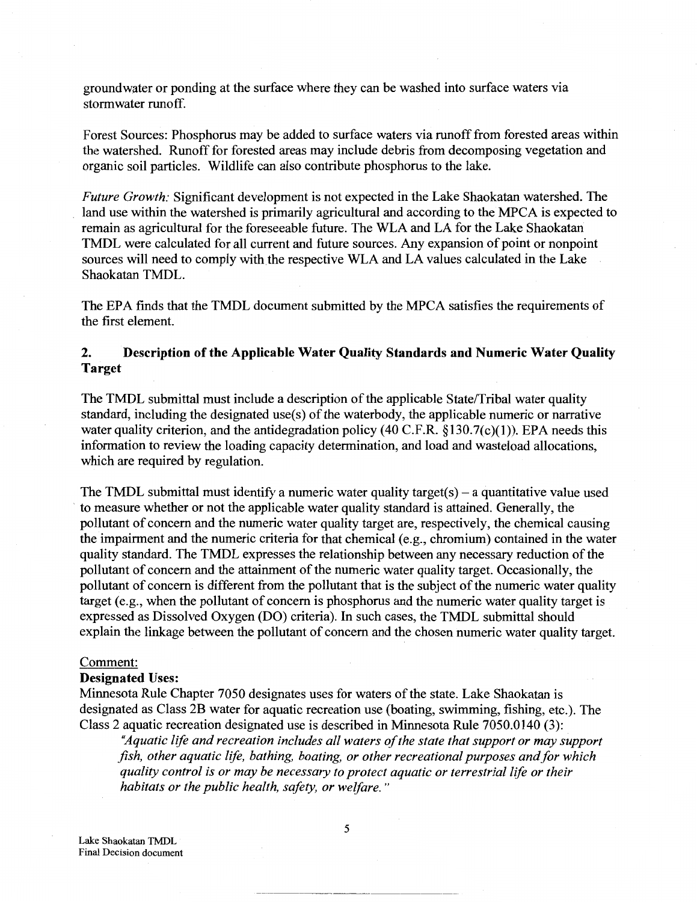groundwater or ponding at the surface where they can be washed into surface waters via stormwater runoff.

Forest Sources: Phosphorus may be added to surface waters via runoff from forested areas within the watershed. Runoff for forested areas may include debris from decomposing vegetation and organic soil particles. Wildlife can also contribute phosphorus to the lake.

*Future Growth:* Significant development is not expected in the Lake Shaokatan watershed. The land use within the watershed is primarily agricultural and according to the MPCA is expected to remain as agricultural for the foreseeable future. The WLA and LA for the Lake Shaokatan TMDL were calculated for all current and future sources. Any expansion of point or nonpoint sources will need to comply with the respective WLA and LA values calculated in the Lake Shaokatan TMDL.

The EPA finds that the TMDL document submitted by the MPCA satisfies the requirements of the first element.

# **2. Description of the Applicable Water Quality Standards and Numeric Water Quality Target**

The TMDL submittal must include a description of the applicable State/Tribal water quality standard, including the designated use(s) of the waterbody, the applicable numeric or narrative water quality criterion, and the antidegradation policy (40 C.F.R.  $\S$ 130.7(c)(1)). EPA needs this information to review the loading capacity determination, and load and wasteload allocations, which are required by regulation.

The TMDL submittal must identify a numeric water quality target(s) – a quantitative value used to measure whether or not the applicable water quality standard is attained. Generally, the pollutant of concern and the numeric water quality target are, respectively, the chemical causing the impairment and the numeric criteria for that chemical (e.g., chromium) contained in the water quality standard. The TMDL expresses the relationship between any necessary reduction of the pollutant of concern and the attainment of the numeric water quality target. Occasionally, the pollutant of concern is different from the pollutant that is the subject of the numeric water quality target (e.g., when the pollutant of concern is phosphorus and the numeric water quality target is expressed as Dissolved Oxygen (DO) criteria). In such cases, the TMDL submittal should explain the linkage between the pollutant of concern and the chosen numeric water quality target.

#### Comment:

#### **Designated** Uses:

Minnesota Rule Chapter 7050 designates uses for waters of the state. Lake Shaokatan is designated as Class 2B water for aquatic recreation use (boating, swimming, fishing, etc.). The Class 2 aquatic recreation designated use is described in Minnesota Rule 7050.0140 (3):

*"Aquatic life and recreation includes all waters of the state that support or may support fish, other aquatic life, bathing, boating, or other recreational purposes and for which quality control is or may be necessary to protect aquatic or terrestrial life or their habitats or the public health, safety, or welfare.* "

Lake Shaokatan TMDL Final Decision document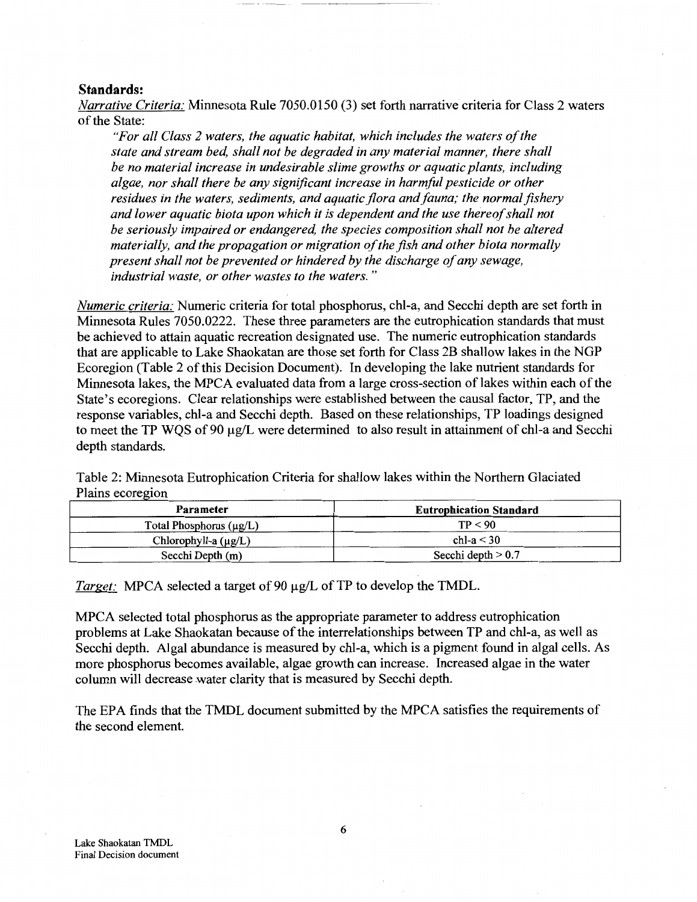## **Standards:**

*Narrative Criteria:* Minnesota Rule 7050.0150 (3) set forth narrative criteria for Class 2 waters of the State:

*"For all Class 2 waters, the aquatic habitat, which includes the waters of the state and stream bed, shall not be degraded in any material manner, there shall be no material increase in undesirable slime growths or aquatic plants, including algae, nor shall there be any significant increase in harmful pesticide or other residues in the waters, sediments, and aquatic flora and fauna; the normal fishery and lower aquatic biota upon which it is dependent and the use thereof shall not be seriously impaired or endangered, the species composition shall not be altered materially, and the propagation or migration of the fish and other biota normally present shall not be prevented or hindered by the discharge of any sewage, industrial waste, or other wastes to the waters.* "

*Numeric criteria:* Numeric criteria for total phosphorus, chl-a, and Secchi depth are set forth in Minnesota Rules 7050.0222. These three parameters are the eutrophication standards that must be achieved to attain aquatic recreation designated use. The numeric eutrophication standards that are applicable to Lake Shaokatan are those set forth for Class 2B shallow lakes in the NGP Ecoregion (Table 2 of this Decision Document). In developing the lake nutrient standards for Minnesota lakes, the MPCA evaluated data from a large cross-section of lakes within each of the State's ecoregions. Clear relationships were established between the causal factor, TP, and the response variables, chl-a and Secchi depth. Based on these relationships, TP loadings designed to meet the TP WQS of 90  $\mu$ g/L were determined to also result in attainment of chl-a and Secchi depth standards.

Table 2: Minnesota Eutrophication Criteria for shallow lakes within the Northern Glaciated Plains ecoregion

| Parameter                    | <b>Eutrophication Standard</b> |
|------------------------------|--------------------------------|
| Total Phosphorus $(\mu g/L)$ | TP < 90                        |
| Chlorophyll-a $(\mu g/L)$    | chl-a $<$ 30                   |
| Secchi Depth (m)             | Secchi depth $> 0.7$           |

*Target:* MPCA selected a target of 90  $\mu$ g/L of TP to develop the TMDL.

MPCA selected total phosphorus as the appropriate parameter to address eutrophication problems at Lake Shaokatan because of the interrelationships between TP and chl-a, as well as Secchi depth. Algal abundance is measured by chl-a, which is a pigment found in algal cells. As more phosphorus becomes available, algae growth can increase. Increased algae in the water column will decrease water clarity that is measured by Secchi depth.

The EPA finds that the TMDL document submitted by the MPCA satisfies the requirements of the second element.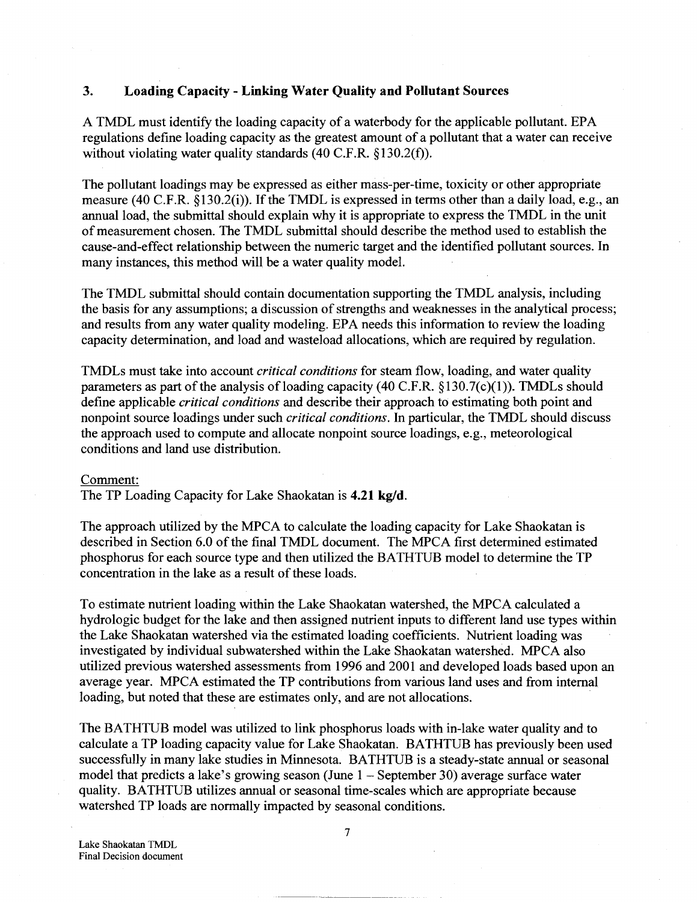## **3. Loading Capacity- Linking Water Quality and Pollutant Sources**

A TMDL must identify the loading capacity of a waterbody for the applicable pollutant. EPA regulations define loading capacity as the greatest amount of a pollutant that a water can receive without violating water quality standards (40 C.F.R. §130.2(f)).

The pollutant loadings may be expressed as either mass-per-time, toxicity or other appropriate measure (40 C.F.R. §130.2(i)). If the TMDL is expressed in terms other than a daily load, e.g., an annual load, the submittal should explain why it is appropriate to express the TMDL in the unit of measurement chosen. The TMDL submittal should describe the method used to establish the cause-and-effect relationship between the numeric target and the identified pollutant sources. In many instances, this method will be a water quality model.

The TMDL submittal should contain documentation supporting the TMDL analysis, including the basis for any assumptions; a discussion of strengths and weaknesses in the analytical process; and results from any water quality modeling. EPA needs this information to review the loading capacity determination, and load and wasteload allocations, which are required by regulation.

TMDLs must take into account *critical conditions* for steam flow, loading, and water quality parameters as part of the analysis of loading capacity (40 C.F.R.  $\S 130.7(c)(1)$ ). TMDLs should define applicable *critical conditions* and describe their approach to estimating both point and nonpoint source loadings under such *critical conditions.* In particular, the TMDL should discuss the approach used to compute and allocate nonpoint source loadings, e.g., meteorological conditions and land use distribution.

#### Comment:

The TP Loading Capacity for Lake Shaokatan is **4.21 kg/d.** 

The approach utilized by the MPCA to calculate the loading capacity for Lake Shaokatan is described in Section 6.0 of the final TMDL document. The MPCA first determined estimated phosphorus for each source type and then utilized the BATHTUB model to determine the TP concentration in the lake as a result of these loads.

To estimate nutrient loading within the Lake Shaokatan watershed, the MPCA calculated a hydrologic budget for the lake and then assigned nutrient inputs to different land use types within the Lake Shaokatan watershed via the estimated loading coefficients. Nutrient loading was investigated by individual subwatershed within the Lake Shaokatan watershed. MPCA also utilized previous watershed assessments from 1996 and 2001 and developed loads based upon an average year. MPCA estimated the TP contributions from various land uses and from internal loading, but noted that these are estimates only, and are not allocations.

The BATHTUB model was utilized to link phosphorus loads with in-lake water quality and to calculate a TP loading capacity value for Lake Shaokatan. BATHTUB has previously been used successfully in many lake studies in Minnesota. BATHTUB is a steady-state annual or seasonal model that predicts a lake's growing season (June  $1-$  September 30) average surface water quality. BATHTUB utilizes annual or seasonal time-scales which are appropriate because watershed TP loads are normally impacted by seasonal conditions.

Lake Shaokatan TMDL Final Decision document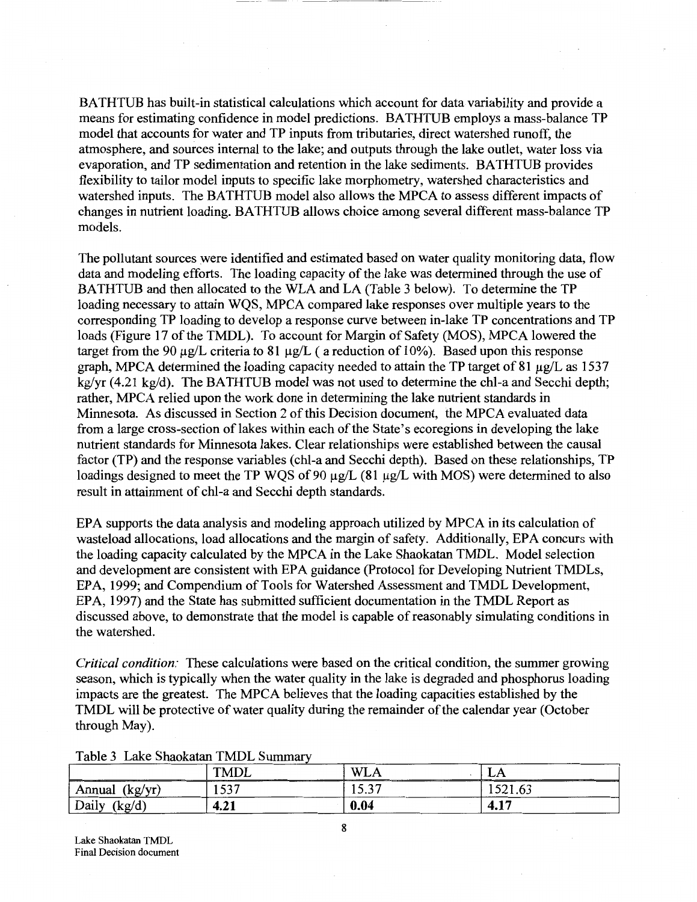BATHTUB has built-in statistical calculations which account for data variability and provide a means for estimating confidence in model predictions. BATHTUB employs a mass-balance TP model that accounts for water and TP inputs from tributaries, direct watershed runoff, the atmosphere, and sources internal to the lake; and outputs through the lake outlet, water loss via evaporation, and TP sedimentation and retention in the lake sediments. BATHTUB provides flexibility to tailor model inputs to specific lake morphometry, watershed characteristics and watershed inputs. The BATHTUB model also allows the MPCA to assess different impacts of changes in nutrient loading. BATHTUB allows choice among several different mass-balance TP models.

The pollutant sources were identified and estimated based on water quality monitoring data, flow data and modeling efforts. The loading capacity of the lake was determined through the use of BATHTUB and then allocated to the WLA and LA (Table 3 below). To determine the TP loading necessary to attain WQS, MPCA compared lake responses over multiple years to the corresponding TP loading to develop a response curve between in-lake TP concentrations and TP loads (Figure 17 of the TMDL). To account for Margin of Safety (MOS), MPCA lowered the target from the 90  $\mu$ g/L criteria to 81  $\mu$ g/L (a reduction of 10%). Based upon this response graph, MPCA determined the loading capacity needed to attain the TP target of 81  $\mu$ g/L as 1537 kg/yr (4.21 kg/d). The BATHTUB model was not used to determine the chl-a and Secchi depth; rather, MPCA relied upon the work done in determining the lake nutrient standards in Minnesota. As discussed in Section 2 of this Decision document, the MPCA evaluated data from a large cross-section of lakes within each of the State's ecoregions in developing the lake nutrient standards for Minnesota lakes. Clear relationships were established between the causal factor (TP) and the response variables (chl-a and Secchi depth). Based on these relationships, TP loadings designed to meet the TP WQS of 90  $\mu$ g/L (81  $\mu$ g/L with MOS) were determined to also result in attainment of chl-a and Secchi depth standards.

EPA supports the data analysis and modeling approach utilized by MPCA in its calculation of wasteload allocations, load allocations and the margin of safety. Additionally, EPA concurs with the loading capacity calculated by the MPCA in the Lake Shaokatan TMDL. Model selection and development are consistent with EPA guidance (Protocol for Developing Nutrient TMDLs, EPA, 1999; and Compendium of Tools for Watershed Assessment and TMDL Development, EPA, 1997) and the State has submitted sufficient documentation in the TMDL Report as discussed above, to demonstrate that the model is capable of reasonably simulating conditions in the watershed.

*Critical condition:* These calculations were based on the critical condition, the summer growing season, which is typically when the water quality in the lake is degraded and phosphorus loading impacts are the greatest. The MPCA believes that the loading capacities established by the TMDL will be protective of water quality during the remainder of the calendar year (October through May).

|                                                     | <b>TMDL</b><br>------           | <b>WLA</b><br>--------------<br>____ | LЛ<br>$      -$<br>________ |
|-----------------------------------------------------|---------------------------------|--------------------------------------|-----------------------------|
| __<br>$l \sim l \cdot m$<br>Annual<br>$\mathcal{L}$ | ______<br>_____<br>527<br>1 J J | 527<br>، ب. ب                        | 501<br>1921.09              |
| Daily<br>(kg/d)                                     | 4.21                            | 0.04<br>_____                        | 4.17                        |

Table 3 Lake Shaokatan TMDL Summary

Lake Shaokatan TMDL Final Decision document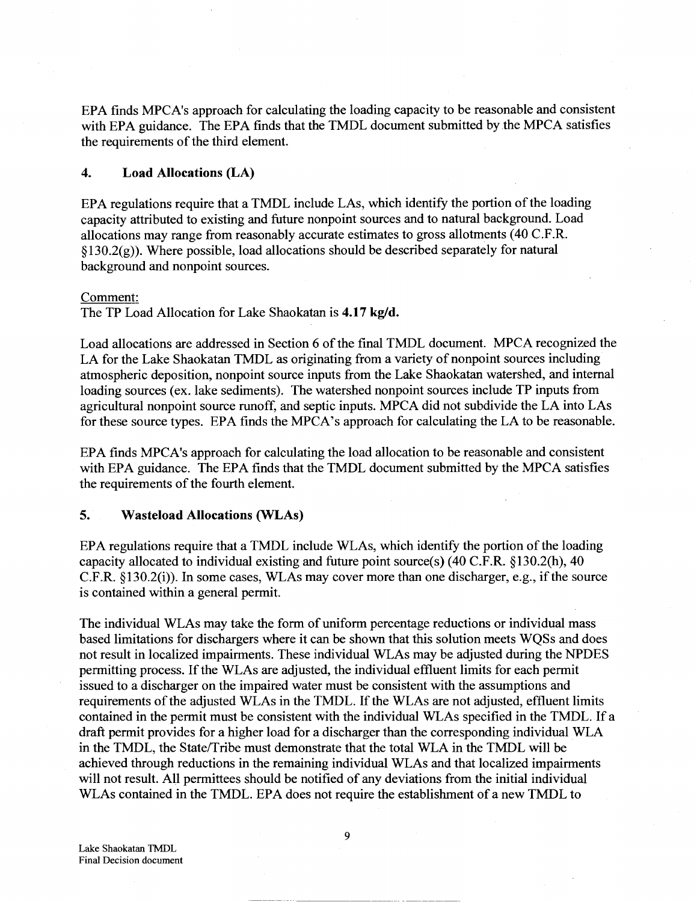EPA finds MPCA's approach for calculating the loading capacity to be reasonable and consistent with EPA guidance. The EPA finds that the TMDL document submitted by the MPCA satisfies the requirements of the third element.

## **4. Load Allocations (LA)**

EPA regulations require that a TMDL include LAs, which identify the portion of the loading capacity attributed to existing and future nonpoint sources and to natural background. Load allocations may range from reasonably accurate estimates to gross allotments (40 C.F.R.  $\S 130.2(g)$ ). Where possible, load allocations should be described separately for natural background and nonpoint sources.

## Comment:

The TP Load Allocation for Lake Shaokatan is **4.17 kg/d.** 

Load allocations are addressed in Section 6 of the final TMDL document. MPCA recognized the LA for the Lake Shaokatan TMDL as originating from a variety of nonpoint sources including atmospheric deposition, nonpoint source inputs from the Lake Shaokatan watershed, and internal loading sources (ex. lake sediments). The watershed nonpoint sources include TP inputs from agricultural nonpoint source runoff, and septic inputs. MPCA did not subdivide the LA into LAs for these source types. EPA finds the MPCA's approach for calculating the LA to be reasonable.

EPA finds MPCA's approach for calculating the load allocation to be reasonable and consistent with EPA guidance. The EPA finds that the TMDL document submitted by the MPCA satisfies the requirements of the fourth element.

## **5. Wasteload Allocations (WLAs)**

EPA regulations require that a TMDL include WLAs, which identify the portion of the loading capacity allocated to individual existing and future point source(s) (40 C.F.R. §130.2(h), 40  $C.F.R. §130.2(i)$ . In some cases, WLAs may cover more than one discharger, e.g., if the source is contained within a general permit.

The individual WLAs may take the form of uniform percentage reductions or individual mass based limitations for dischargers where it can be shown that this solution meets WQSs and does not result in localized impairments. These individual WLAs may be adjusted during the NPDES permitting process. If the WLAs are adjusted, the individual effluent limits for each permit issued to a discharger on the impaired water must be consistent with the assumptions and requirements of the adjusted WLAs in the TMDL. If the WLAs are not adjusted, effluent limits contained in the permit must be consistent with the individual WLAs specified in the TMDL. If a draft permit provides for a higher load for a discharger than the corresponding individual WLA in the TMDL, the State/Tribe must demonstrate that the total WLA in the TMDL will be achieved through reductions in the remaining individual WLAs and that localized impairments will not result. All permittees should be notified of any deviations from the initial individual WLAs contained in the TMDL. EPA does not require the establishment of a new TMDL to

9

~----~- - ----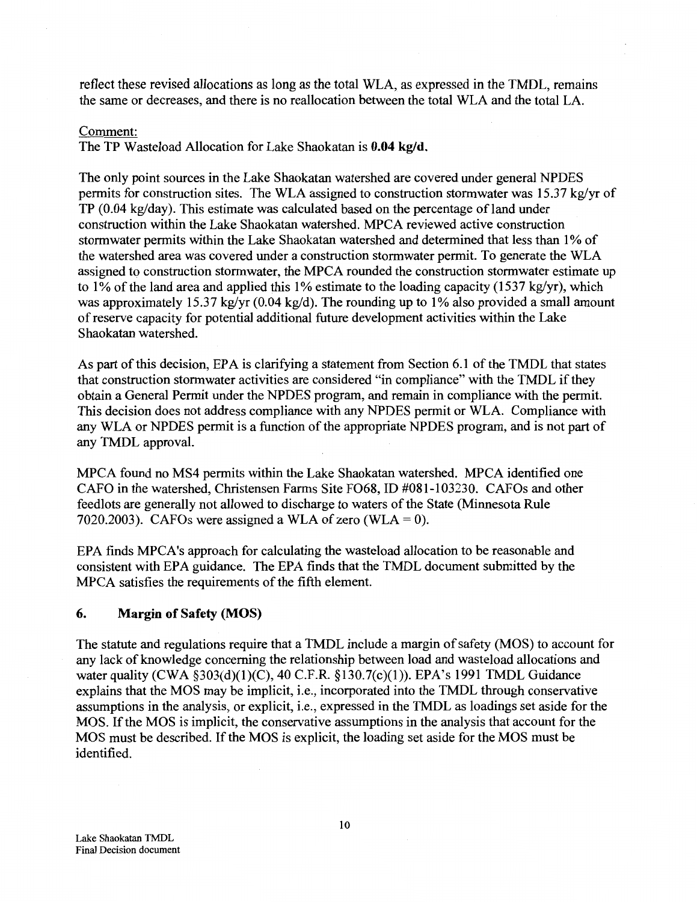reflect these revised allocations as long as the total WLA, as expressed in the TMDL, remains the same or decreases, and there is no reallocation between the total WLA and the total LA.

## Comment:

The TP Wasteload Allocation for Lake Shaokatan is **0.04 kg/d.** 

The only point sources in the Lake Shaokatan watershed are covered under general NPDES permits for construction sites. The WLA assigned to construction stormwater was 15.37 kg/yr of  $TP(0.04 \text{ kg/day})$ . This estimate was calculated based on the percentage of land under construction within the Lake Shaokatan watershed. MPCA reviewed active construction stormwater permits within the Lake Shaokatan watershed and determined that less than 1% of the watershed area was covered under a construction stormwater permit. To generate the WLA assigned to construction stormwater, the MPCA rounded the construction stormwater estimate up to 1% of the land area and applied this 1% estimate to the loading capacity (1537 kg/yr), which was approximately 15.37 kg/yr (0.04 kg/d). The rounding up to 1% also provided a small amount of reserve capacity for potential additional future development activities within the Lake Shaokatan watershed.

As part of this decision, EPA is clarifying a statement from Section 6.1 of the TMDL that states that construction stormwater activities are considered "in compliance" with the TMDL if they obtain a General Permit under the NPDES program, and remain in compliance with the permit. This decision does not address compliance with any NPDES permit or WLA. Compliance with any WLA or NPDES permit is a function of the appropriate NPDES program, and is not part of any TMDL approval.

MPCA found no MS4 permits within the Lake Shaokatan watershed. MPCA identified one CAFO in the watershed, Christensen Farms Site F068, ID #081-103230. CAFOs and other feedlots are generally not allowed to discharge to waters of the State (Minnesota Rule 7020.2003). CAFOs were assigned a WLA of zero (WLA = 0).

EPA finds MPCA's approach for calculating the wasteload allocation to be reasonable and consistent with EPA guidance. The EPA finds that the TMDL document submitted by the MPCA satisfies the requirements of the fifth element.

## **6. Margin of Safety (MOS)**

The statute and regulations require that a TMDL include a margin of safety (MOS) to account for any lack of knowledge concerning the relationship between load and wasteload allocations and water quality (CWA §303(d)(1)(C), 40 C.F.R. §130.7(c)(1)). EPA's 1991 TMDL Guidance explains that the MOS may be implicit, i.e., incorporated into the TMDL through conservative assumptions in the analysis, or explicit, i.e., expressed in the TMDL as loadings set aside for the MOS. If the MOS is implicit, the conservative assumptions in the analysis that account for the MOS must be described. If the MOS is explicit, the loading set aside for the MOS must be identified.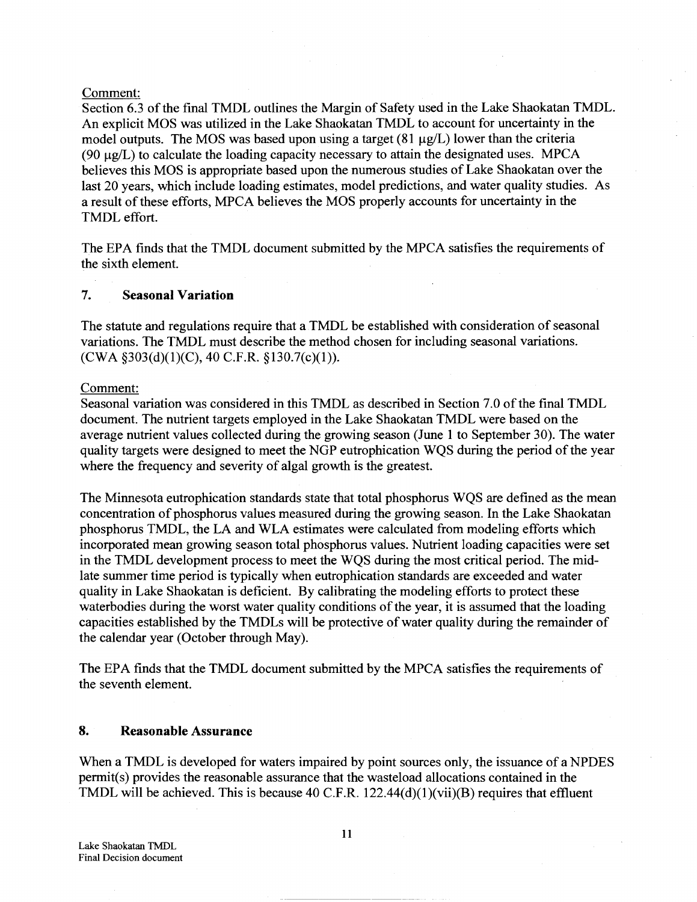## Comment:

Section 6.3 of the final TMDL outlines the Margin of Safety used in the Lake Shaokatan TMDL. An explicit MOS was utilized in the Lake Shaokatan TMDL to account for uncertainty in the model outputs. The MOS was based upon using a target  $(81 \mu g/L)$  lower than the criteria (90  $\mu$ g/L) to calculate the loading capacity necessary to attain the designated uses. MPCA believes this MOS is appropriate based upon the numerous studies of Lake Shaokatan over the last 20 years, which include loading estimates, model predictions, and water quality studies. As a result of these efforts, MPCA believes the MOS properly accounts for uncertainty in the TMDL effort.

The EPA finds that the TMDL document submitted by the MPCA satisfies the requirements of the sixth element.

## 7. Seasonal Variation

The statute and regulations require that a TMDL be established with consideration of seasonal variations. The TMDL must describe the method chosen for including seasonal variations. (CWA §303(d)(1)(C), 40 C.F.R. §130.7(c)(1)).

Comment:

Seasonal variation was considered in this TMDL as described in Section 7.0 of the final TMDL document. The nutrient targets employed in the Lake Shaokatan TMDL were based on the average nutrient values collected during the growing season (June 1 to September 30). The water quality targets were designed to meet the NGP eutrophication WQS during the period of the year where the frequency and severity of algal growth is the greatest.

The Minnesota eutrophication standards state that total phosphorus WQS are defined as the mean concentration of phosphorus values measured during the growing season. In the Lake Shaokatan phosphorus TMDL, the LA and WLA estimates were calculated from modeling efforts which incorporated mean growing season total phosphorus values. Nutrient loading capacities were set in the TMDL development process to meet the WQS during the most critical period. The midlate summer time period is typically when eutrophication standards are exceeded and water quality in Lake Shaokatan is deficient. By calibrating the modeling efforts to protect these waterbodies during the worst water quality conditions of the year, it is assumed that the loading capacities established by the TMDLs will be protective of water quality during the remainder of the calendar year (October through May).

The EPA finds that the TMDL document submitted by the MPCA satisfies the requirements of the seventh element.

# 8. Reasonable Assurance

When a TMDL is developed for waters impaired by point sources only, the issuance of a NPDES permit(s) provides the reasonable assurance that the wasteload allocations contained in the TMDL will be achieved. This is because 40 C.F.R.  $122.44(d)(1)(vii)(B)$  requires that effluent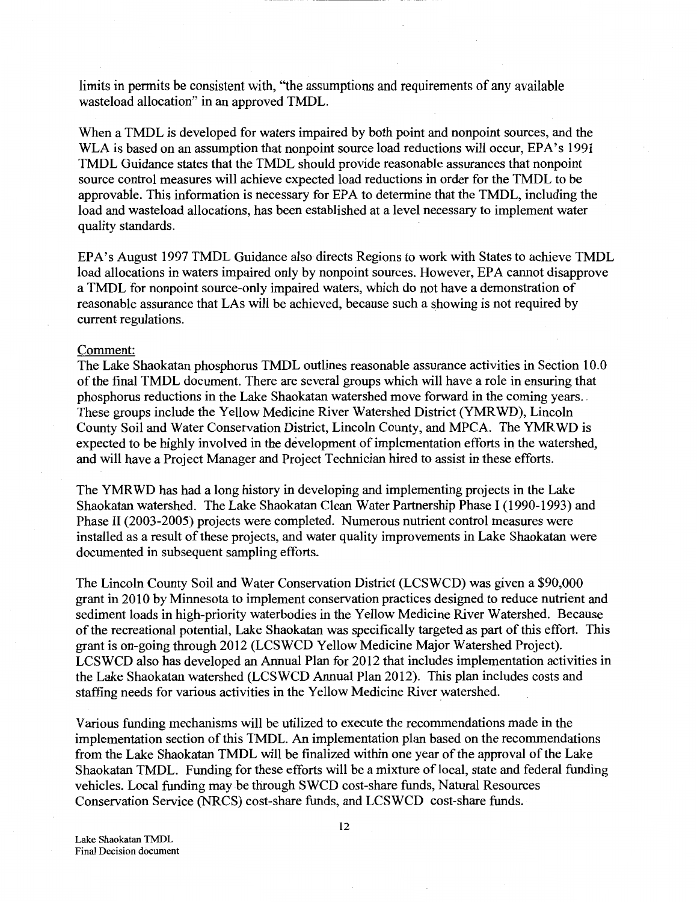limits in permits be consistent with, "the assumptions and requirements of any available wasteload allocation" in an approved TMDL.

When a TMDL is developed for waters impaired by both point and nonpoint sources, and the WLA is based on an assumption that nonpoint source load reductions will occur, EPA's 1991 TMDL Guidance states that the TMDL should provide reasonable assurances that nonpoint source control measures will achieve expected load reductions in order for the TMDL to be approvable. This information is necessary for EPA to determine that the TMDL, including the load and wasteload allocations, has been established at a level necessary to implement water quality standards.

EPA's August 1997 TMDL Guidance also directs Regions to work with States to achieve TMDL load allocations in waters impaired only by nonpoint sources. However, EPA cannot disapprove a TMDL for nonpoint source-only impaired waters, which do not have a demonstration of reasonable assurance that LAs will be achieved, because such a showing is not required by current regulations.

#### Comment:

The Lake Shaokatan phosphorus TMDL outlines reasonable assurance activities in Section 10.0 of the final TMDL document. There are several groups which will have a role in ensuring that phosphorus reductions in the Lake Shaokatan watershed move forward in the coming years .. These groups include the Yellow Medicine River Watershed District (YMRWD), Lincoln County Soil and Water Conservation District, Lincoln County, and MPCA. The YMRWD is expected to be highly involved in the development of implementation efforts in the watershed, and will have a Project Manager and Project Technician hired to assist in these efforts.

The YMRWD has had a long history in developing and implementing projects in the Lake Shaokatan watershed. The Lake Shaokatan Clean Water Partnership Phase I (1990-1993) and Phase II (2003-2005) projects were completed. Numerous nutrient control measures were installed as a result of these projects, and water quality improvements in Lake Shaokatan were documented in subsequent sampling efforts.

The Lincoln County Soil and Water Conservation District (LCSWCD) was given a \$90,000 grant in 2010 by Minnesota to implement conservation practices designed to reduce nutrient and sediment loads in high-priority waterbodies in the Yellow Medicine River Watershed. Because of the recreational potential, Lake Shaokatan was specifically targeted as part of this effort. This grant is on-going through 2012 (LCSWCD Yellow Medicine Major Watershed Project). LCSWCD also has developed an Annual Plan for 2012 that includes implementation activities in the Lake Shaokatan watershed (LCSWCD Annual Plan 2012). This plan includes costs and staffing needs for various activities in the Yellow Medicine River watershed.

Various funding mechanisms will be utilized to execute the recommendations made in the implementation section of this TMDL. An implementation plan based on the recommendations from the Lake Shaokatan TMDL will be finalized within one year of the approval of the Lake Shaokatan TMDL. Funding for these efforts will be a mixture of local, state and federal funding vehicles. Local funding may be through SWCD cost-share funds, Natural Resources Conservation Service (NRCS) cost-share funds, and LCSWCD cost-share funds.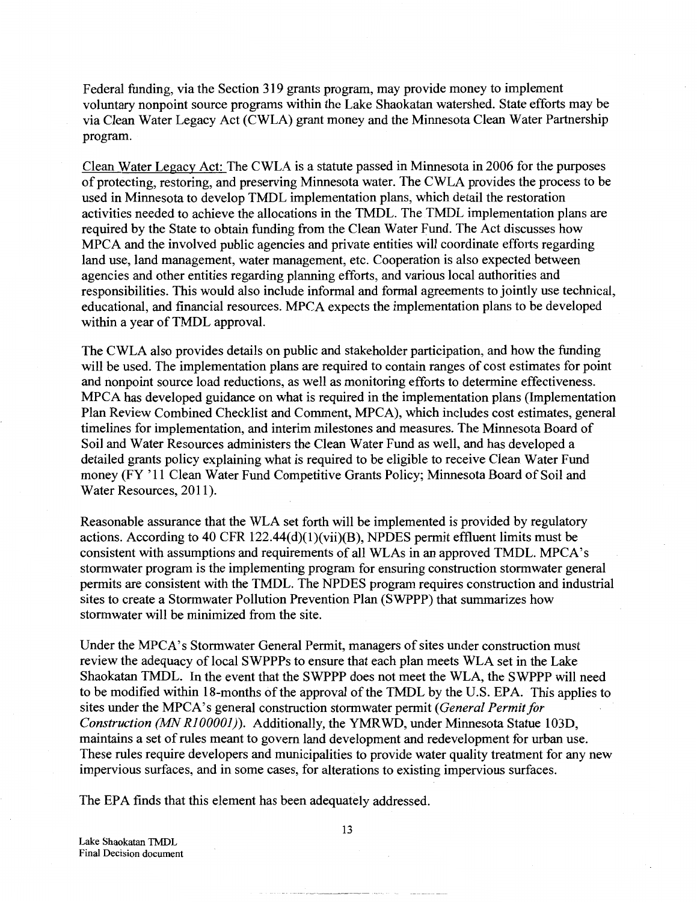Federal funding, via the Section 319 grants program, may provide money to implement voluntary nonpoint source programs within the Lake Shaokatan watershed. State efforts may be via Clean Water Legacy Act (CWLA) grant money and the Minnesota Clean Water Partnership program.

Clean Water Legacy Act: The CWLA is a statute passed in Minnesota in 2006 for the purposes of protecting, restoring, and preserving Minnesota water. The CWLA provides the process to be used in Minnesota to develop TMDL implementation plans, which detail the restoration activities needed to achieve the allocations in the TMDL. The TMDL implementation plans are required by the State to obtain funding from the Clean Water Fund. The Act discusses how MPCA and the involved public agencies and private entities will coordinate efforts regarding land use, land management, water management, etc. Cooperation is also expected between agencies and other entities regarding planning efforts, and various local authorities and responsibilities. This would also include informal and formal agreements to jointly use technical, educational, and financial resources. MPCA expects the implementation plans to be developed within a year of TMDL approval.

The CWLA also provides details on public and stakeholder participation, and how the funding will be used. The implementation plans are required to contain ranges of cost estimates for point and nonpoint source load reductions, as well as monitoring efforts to determine effectiveness. MPCA has developed guidance on what is required in the implementation plans (Implementation Plan Review Combined Checklist and Comment, MPCA), which includes cost estimates, general timelines for implementation, and interim milestones and measures. The Minnesota Board of Soil and Water Resources administers the Clean Water Fund as well, and has developed a detailed grants policy explaining what is required to be eligible to receive Clean Water Fund money (FY '11 Clean Water Fund Competitive Grants Policy; Minnesota Board of Soil and Water Resources, 2011).

Reasonable assurance that the WLA set forth will be implemented is provided by regulatory actions. According to 40 CFR  $122.44(d)(1)(vi)(B)$ , NPDES permit effluent limits must be consistent with assumptions and requirements of all WLAs in an approved TMDL. MPCA's stormwater program is the implementing program for ensuring construction stormwater general permits are consistent with the TMDL. The NPDES program requires construction and industrial sites to create a Stormwater Pollution Prevention Plan (SWPPP) that summarizes how stormwater will be minimized from the site.

Under the MPCA's Stormwater General Permit, managers of sites under construction must review the adequacy of local SWPPPs to ensure that each plan meets WLA set in the Lake Shaokatan TMDL. In the event that the SWPPP does not meet the WLA, the SWPPP will need to be modified within 18-months of the approval of the TMDL by the U.S. EPA. This applies to sites under the MPCA' s general construction storm water permit *(General Permit for Construction (MN RJOOOOJ)).* Additionally, the YMRWD, under Minnesota Statue 103D, maintains a set of rules meant to govern land development and redevelopment for urban use. These rules require developers and municipalities to provide water quality treatment for any new impervious surfaces, and in some cases, for alterations to existing impervious surfaces.

The EPA finds that this element has been adequately addressed.

Lake Shaokatan TMDL Final Decision document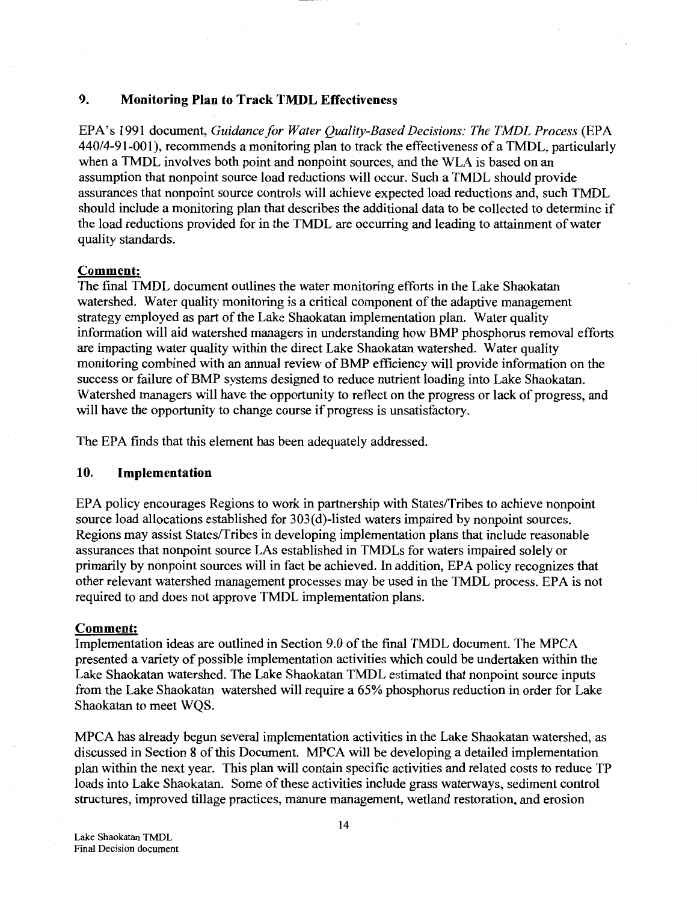## **9. Monitoring Plan to Track TMDL Effectiveness**

EPA's 1991 document, *Guidance for Water Quality-Based Decisions: The TMDL Process* (EPA 440/4-91-001), recommends a monitoring plan to track the effectiveness of a TMDL, particularly when a TMDL involves both point and nonpoint sources, and the WLA is based on an assumption that nonpoint source load reductions will occur. Such a TMDL should provide assurances that nonpoint source controls will achieve expected load reductions and, such TMDL should include a monitoring plan that describes the additional data to be collected to determine if the load reductions provided for in the TMDL are occurring and leading to attainment of water quality standards.

#### **Comment:**

The final TMDL document outlines the water monitoring efforts in the Lake Shaokatan watershed. Water quality monitoring is a critical component of the adaptive management strategy employed as part of the Lake Shaokatan implementation plan. Water quality information will aid watershed managers in understanding how BMP phosphorus removal efforts are impacting water quality within the direct Lake Shaokatan watershed. Water quality monitoring combined with an annual review of BMP efficiency will provide information on the success or failure of BMP systems designed to reduce nutrient loading into Lake Shaokatan. Watershed managers will have the opportunity to reflect on the progress or lack of progress, and will have the opportunity to change course if progress is unsatisfactory.

The EPA finds that this element has been adequately addressed.

## **10. Implementation**

EPA policy encourages Regions to work in partnership with States/Tribes to achieve nonpoint source load allocations established for 303(d)-listed waters impaired by nonpoint sources. Regions may assist States/Tribes in developing implementation plans that include reasonable assurances that nonpoint source LAs established in TMDLs for waters impaired solely or primarily by nonpoint sources will in fact be achieved. In addition, EPA policy recognizes that other relevant watershed management processes may be used in the TMDL process. EPA is not required to and does not approve TMDL implementation plans.

#### **Comment:**

Implementation ideas are outlined in Section 9.0 of the final TMDL document. The MPCA presented a variety of possible implementation activities which could be undertaken within the Lake Shaokatan watershed. The Lake Shaokatan TMDL estimated that nonpoint source inputs from the Lake Shaokatan watershed will require a 65% phosphorus reduction in order for Lake Shaokatan to meet WQS.

MPCA has already begun several implementation activities in the Lake Shaokatan watershed, as discussed in Section 8 of this Document. MPCA will be developing a detailed implementation plan within the next year. This plan will contain specific activities and related costs to reduce TP loads into Lake Shaokatan. Some of these activities include grass waterways, sediment control structures, improved tillage practices, manure management, wetland restoration, and erosion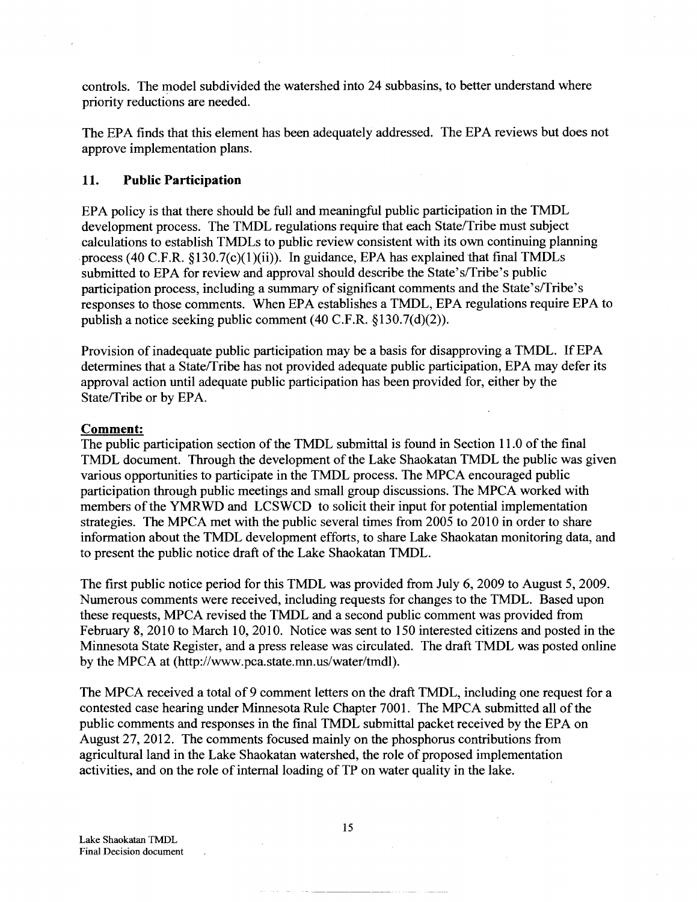controls. The model subdivided the watershed into 24 subbasins, to better understand where priority reductions are needed.

The EPA finds that this element has been adequately addressed. The EPA reviews but does not approve implementation plans.

#### **11. Public Participation**

EPA policy is that there should be full and meaningful public participation in the TMDL development process. The TMDL regulations require that each State/Tribe must subject calculations to establish TMDLs to public review consistent with its own continuing planning process (40 C.F.R. §130.7(c)(1)(ii)). In guidance, EPA has explained that final TMDLs submitted to EPA for review and approval should describe the State's/Tribe's public participation process, including a summary of significant comments and the State's/Tribe's responses to those comments. When EPA establishes a TMDL, EPA regulations require EPA to publish a notice seeking public comment (40 C.F.R. §130.7(d)(2)).

Provision of inadequate public participation may be a basis for disapproving a TMDL. If EPA determines that a State/Tribe has not provided adequate public participation, EPA may defer its approval action until adequate public participation has been provided for, either by the State/Tribe or by EPA.

#### **Comment:**

The public participation section of the TMDL submittal is found in Section 11.0 of the final TMDL document. Through the development of the Lake Shaokatan TMDL the public was given various opportunities to participate in the TMDL process. The MPCA encouraged public participation through public meetings and small group discussions. The MPCA worked with members of the YMRWD and LCSWCD to solicit their input for potential implementation strategies. The MPCA met with the public several times from 2005 to 2010 in order to share information about the TMDL development efforts, to share Lake Shaokatan monitoring data, and to present the public notice draft of the Lake Shaokatan TMDL.

The first public notice period for this TMDL was provided from July 6, 2009 to August 5, 2009. Numerous comments were received, including requests for changes to the TMDL. Based upon these requests, MPCA revised the TMDL and a second public comment was provided from February 8, 2010 to March 10,2010. Notice was sent to 150 interested citizens and posted in the Minnesota State Register, and a press release was circulated. The draft TMDL was posted online by the MPCA at (http://www.pca.state.mn.us/water/tmdl).

The MPCA received a total of 9 comment letters on the draft TMDL, including one request for a contested case hearing under Minnesota Rule Chapter 7001. The MPCA submitted all of the public comments and responses in the final TMDL submittal packet received by the EPA on August 27, 2012. The comments focused mainly on the phosphorus contributions from agricultural land in the Lake Shaokatan watershed, the role of proposed implementation activities, and on the role of internal loading of TP on water quality in the lake.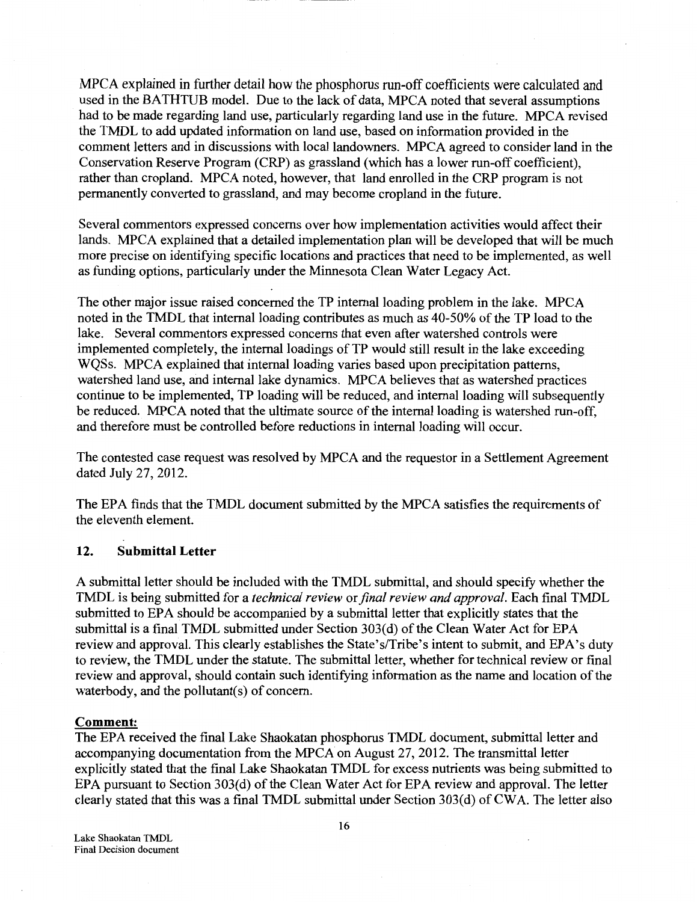MPCA explained in further detail how the phosphorus run-off coefficients were calculated and used in the BATHTUB model. Due to the lack of data, MPCA noted that several assumptions had to be made regarding land use, particularly regarding land use in the future. MPCA revised the TMDL to add updated information on land use, based on information provided in the comment letters and in discussions with local landowners. MPCA agreed to consider land in the Conservation Reserve Program (CRP) as grassland (which has a lower run-off coefficient), rather than cropland. MPCA noted, however, that land enrolled in the CRP program is not permanently converted to grassland, and may become cropland in the future.

Several commentors expressed concerns over how implementation activities would affect their lands. MPCA explained that a detailed implementation plan will be developed that will be much more precise on identifying specific locations and practices that need to be implemented, as well as funding options, particularly under the Minnesota Clean Water Legacy Act.

The other major issue raised concerned the TP internal loading problem in the lake. MPCA noted in the TMDL that internal loading contributes as much as 40-50% of the TP load to the lake. Several commentors expressed concerns that even after watershed controls were implemented completely, the internal loadings of TP would still result in the lake exceeding WQSs. MPCA explained that internal loading varies based upon precipitation patterns, watershed land use, and internal lake dynamics. MPCA believes that as watershed practices continue to be implemented, TP loading will be reduced, and internal loading will subsequently be reduced. MPCA noted that the ultimate source of the internal loading is watershed run-off, and therefore must be controlled before reductions in internal loading will occur.

The contested case request was resolved by MPCA and the requestor in a Settlement Agreement dated July 27, 2012.

The EPA finds that the TMDL document submitted by the MPCA satisfies the requirements of the eleventh element.

## **12. Submittal Letter**

A submittal letter should be included with the TMDL submittal, and should specify whether the TMDL is being submitted for a *technical review* or *final review and approval.* Each final TMDL submitted to EPA should be accompanied by a submittal letter that explicitly states that the submittal is a final TMDL submitted under Section 303(d) of the Clean Water Act for EPA review and approval. This clearly establishes the State's/Tribe's intent to submit, and EPA's duty to review, the TMDL under the statute. The submittal letter, whether for technical review or final review and approval, should contain such identifying information as the name and location of the waterbody, and the pollutant(s) of concern.

#### **Comment:**

The EPA received the final Lake Shaokatan phosphorus TMDL document, submittal letter and accompanying documentation from the MPCA on August 27,2012. The transmittal letter explicitly stated that the final Lake Shaokatan TMDL for excess nutrients was being submitted to EPA pursuant to Section 303(d) of the Clean Water Act for EPA review and approval. The letter clearly stated that this was a final TMDL submittal under Section 303(d) of CWA. The letter also